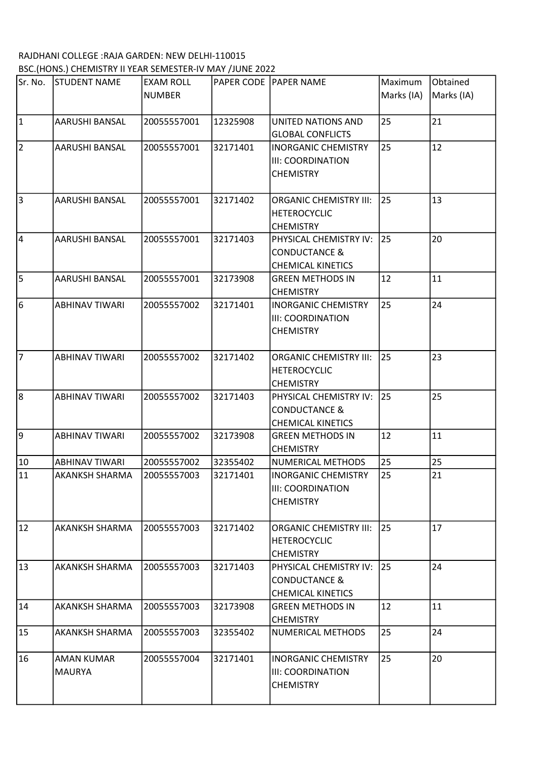## RAJDHANI COLLEGE :RAJA GARDEN: NEW DELHI-110015 BSC.(HONS.) CHEMISTRY II YEAR SEMESTER-IV MAY /JUNE 2022

| Sr. No.         | <b>STUDENT NAME</b>   | <b>EXAM ROLL</b> |          | PAPER CODE PAPER NAME         | Maximum    | Obtained   |
|-----------------|-----------------------|------------------|----------|-------------------------------|------------|------------|
|                 |                       | <b>NUMBER</b>    |          |                               | Marks (IA) | Marks (IA) |
| 1               | AARUSHI BANSAL        | 20055557001      | 12325908 | UNITED NATIONS AND            | 25         | 21         |
|                 |                       |                  |          | <b>GLOBAL CONFLICTS</b>       |            |            |
| $\vert$ 2       | AARUSHI BANSAL        | 20055557001      | 32171401 | <b>INORGANIC CHEMISTRY</b>    | 25         | 12         |
|                 |                       |                  |          | <b>III: COORDINATION</b>      |            |            |
|                 |                       |                  |          | <b>CHEMISTRY</b>              |            |            |
| 3               | AARUSHI BANSAL        | 20055557001      | 32171402 | <b>ORGANIC CHEMISTRY III:</b> | 25         | 13         |
|                 |                       |                  |          | <b>HETEROCYCLIC</b>           |            |            |
|                 |                       |                  |          | <b>CHEMISTRY</b>              |            |            |
| 4               | <b>AARUSHI BANSAL</b> | 20055557001      | 32171403 | PHYSICAL CHEMISTRY IV:        | 25         | 20         |
|                 |                       |                  |          | <b>CONDUCTANCE &amp;</b>      |            |            |
|                 |                       |                  |          | <b>CHEMICAL KINETICS</b>      |            |            |
| l5.             | AARUSHI BANSAL        | 20055557001      | 32173908 | <b>GREEN METHODS IN</b>       | 12         | 11         |
|                 |                       |                  |          | <b>CHEMISTRY</b>              |            |            |
| 6               | <b>ABHINAV TIWARI</b> | 20055557002      | 32171401 | <b>INORGANIC CHEMISTRY</b>    | 25         | 24         |
|                 |                       |                  |          | <b>III: COORDINATION</b>      |            |            |
|                 |                       |                  |          | <b>CHEMISTRY</b>              |            |            |
| 17              | <b>ABHINAV TIWARI</b> | 20055557002      | 32171402 | <b>ORGANIC CHEMISTRY III:</b> | 25         | 23         |
|                 |                       |                  |          | <b>HETEROCYCLIC</b>           |            |            |
|                 |                       |                  |          | <b>CHEMISTRY</b>              |            |            |
| 8               | <b>ABHINAV TIWARI</b> | 20055557002      | 32171403 | PHYSICAL CHEMISTRY IV:        | 25         | 25         |
|                 |                       |                  |          | <b>CONDUCTANCE &amp;</b>      |            |            |
|                 |                       |                  |          | <b>CHEMICAL KINETICS</b>      |            |            |
| 9               | <b>ABHINAV TIWARI</b> | 20055557002      | 32173908 | <b>GREEN METHODS IN</b>       | 12         | 11         |
|                 |                       |                  |          | <b>CHEMISTRY</b>              |            |            |
| 10              | <b>ABHINAV TIWARI</b> | 20055557002      | 32355402 | NUMERICAL METHODS             | 25         | 25         |
| $\overline{11}$ | <b>AKANKSH SHARMA</b> | 20055557003      | 32171401 | <b>INORGANIC CHEMISTRY</b>    | 25         | 21         |
|                 |                       |                  |          | <b>IIII: COORDINATION</b>     |            |            |
|                 |                       |                  |          | <b>CHEMISTRY</b>              |            |            |
| 12              | <b>AKANKSH SHARMA</b> | 20055557003      | 32171402 | <b>ORGANIC CHEMISTRY III:</b> | 25         | 17         |
|                 |                       |                  |          | <b>HETEROCYCLIC</b>           |            |            |
|                 |                       |                  |          | <b>CHEMISTRY</b>              |            |            |
| 13              | AKANKSH SHARMA        | 20055557003      | 32171403 | PHYSICAL CHEMISTRY IV:        | 25         | 24         |
|                 |                       |                  |          | <b>CONDUCTANCE &amp;</b>      |            |            |
|                 |                       |                  |          | <b>CHEMICAL KINETICS</b>      |            |            |
| 14              | AKANKSH SHARMA        | 20055557003      | 32173908 | <b>GREEN METHODS IN</b>       | 12         | 11         |
|                 |                       |                  |          | <b>CHEMISTRY</b>              |            |            |
| 15              | AKANKSH SHARMA        | 20055557003      | 32355402 | NUMERICAL METHODS             | 25         | 24         |
| 16              | AMAN KUMAR            | 20055557004      | 32171401 | <b>INORGANIC CHEMISTRY</b>    | 25         | 20         |
|                 | <b>MAURYA</b>         |                  |          | <b>III: COORDINATION</b>      |            |            |
|                 |                       |                  |          | <b>CHEMISTRY</b>              |            |            |
|                 |                       |                  |          |                               |            |            |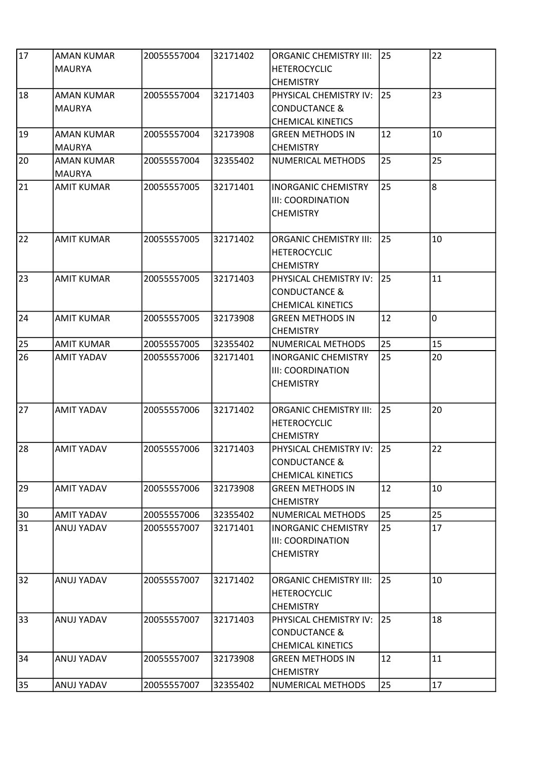| 17 | <b>AMAN KUMAR</b><br><b>MAURYA</b> | 20055557004 | 32171402 | <b>ORGANIC CHEMISTRY III:</b><br><b>HETEROCYCLIC</b><br><b>CHEMISTRY</b>          | 25 | 22             |
|----|------------------------------------|-------------|----------|-----------------------------------------------------------------------------------|----|----------------|
| 18 | <b>AMAN KUMAR</b><br><b>MAURYA</b> | 20055557004 | 32171403 | PHYSICAL CHEMISTRY IV:<br><b>CONDUCTANCE &amp;</b><br><b>CHEMICAL KINETICS</b>    | 25 | 23             |
| 19 | <b>AMAN KUMAR</b><br><b>MAURYA</b> | 20055557004 | 32173908 | <b>GREEN METHODS IN</b><br><b>CHEMISTRY</b>                                       | 12 | 10             |
| 20 | <b>AMAN KUMAR</b><br><b>MAURYA</b> | 20055557004 | 32355402 | NUMERICAL METHODS                                                                 | 25 | 25             |
| 21 | <b>AMIT KUMAR</b>                  | 20055557005 | 32171401 | <b>INORGANIC CHEMISTRY</b><br><b>III: COORDINATION</b><br><b>CHEMISTRY</b>        | 25 | 8              |
| 22 | <b>AMIT KUMAR</b>                  | 20055557005 | 32171402 | <b>ORGANIC CHEMISTRY III:</b><br><b>HETEROCYCLIC</b><br><b>CHEMISTRY</b>          | 25 | 10             |
| 23 | <b>AMIT KUMAR</b>                  | 20055557005 | 32171403 | PHYSICAL CHEMISTRY IV:<br><b>CONDUCTANCE &amp;</b><br><b>CHEMICAL KINETICS</b>    | 25 | 11             |
| 24 | <b>AMIT KUMAR</b>                  | 20055557005 | 32173908 | <b>GREEN METHODS IN</b><br><b>CHEMISTRY</b>                                       | 12 | $\overline{0}$ |
| 25 | <b>AMIT KUMAR</b>                  | 20055557005 | 32355402 | NUMERICAL METHODS                                                                 | 25 | 15             |
| 26 | <b>AMIT YADAV</b>                  | 20055557006 | 32171401 | <b>INORGANIC CHEMISTRY</b><br><b>III: COORDINATION</b><br><b>CHEMISTRY</b>        | 25 | 20             |
| 27 | <b>AMIT YADAV</b>                  | 20055557006 | 32171402 | <b>ORGANIC CHEMISTRY III:</b><br><b>HETEROCYCLIC</b><br><b>CHEMISTRY</b>          | 25 | 20             |
| 28 | <b>AMIT YADAV</b>                  | 20055557006 | 32171403 | PHYSICAL CHEMISTRY IV: 25<br><b>CONDUCTANCE &amp;</b><br><b>CHEMICAL KINETICS</b> |    | 22             |
| 29 | <b>AMIT YADAV</b>                  | 20055557006 | 32173908 | <b>GREEN METHODS IN</b><br><b>CHEMISTRY</b>                                       | 12 | 10             |
| 30 | <b>AMIT YADAV</b>                  | 20055557006 | 32355402 | NUMERICAL METHODS                                                                 | 25 | 25             |
| 31 | ANUJ YADAV                         | 20055557007 | 32171401 | <b>INORGANIC CHEMISTRY</b><br><b>III: COORDINATION</b><br><b>CHEMISTRY</b>        | 25 | 17             |
| 32 | ANUJ YADAV                         | 20055557007 | 32171402 | <b>ORGANIC CHEMISTRY III:</b><br><b>HETEROCYCLIC</b><br><b>CHEMISTRY</b>          | 25 | 10             |
| 33 | ANUJ YADAV                         | 20055557007 | 32171403 | PHYSICAL CHEMISTRY IV:<br><b>CONDUCTANCE &amp;</b><br><b>CHEMICAL KINETICS</b>    | 25 | 18             |
| 34 | ANUJ YADAV                         | 20055557007 | 32173908 | <b>GREEN METHODS IN</b><br><b>CHEMISTRY</b>                                       | 12 | 11             |
| 35 | ANUJ YADAV                         | 20055557007 | 32355402 | NUMERICAL METHODS                                                                 | 25 | 17             |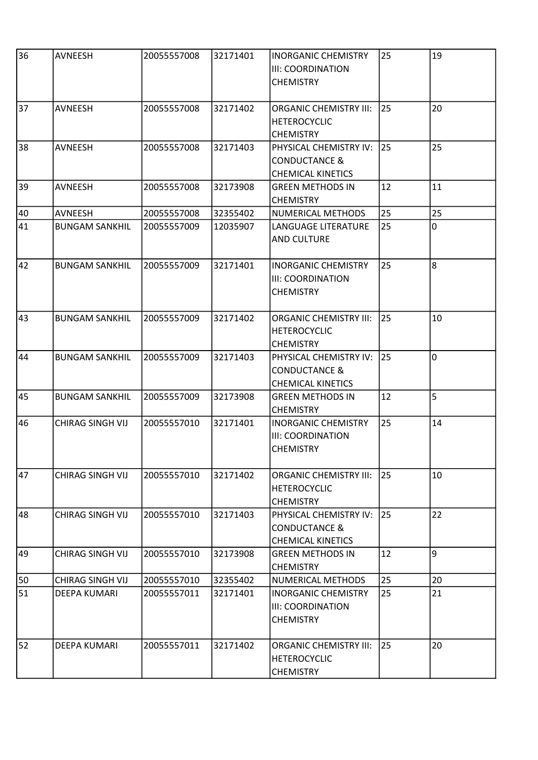| 36 | <b>AVNEESH</b>          | 20055557008 | 32171401 | <b>INORGANIC CHEMISTRY</b><br><b>III: COORDINATION</b><br><b>CHEMISTRY</b>     | 25 | 19 |
|----|-------------------------|-------------|----------|--------------------------------------------------------------------------------|----|----|
| 37 | AVNEESH                 | 20055557008 | 32171402 | <b>ORGANIC CHEMISTRY III:</b><br><b>HETEROCYCLIC</b><br><b>CHEMISTRY</b>       | 25 | 20 |
| 38 | <b>AVNEESH</b>          | 20055557008 | 32171403 | PHYSICAL CHEMISTRY IV:<br><b>CONDUCTANCE &amp;</b><br><b>CHEMICAL KINETICS</b> | 25 | 25 |
| 39 | <b>AVNEESH</b>          | 20055557008 | 32173908 | <b>GREEN METHODS IN</b><br><b>CHEMISTRY</b>                                    | 12 | 11 |
| 40 | AVNEESH                 | 20055557008 | 32355402 | NUMERICAL METHODS                                                              | 25 | 25 |
| 41 | <b>BUNGAM SANKHIL</b>   | 20055557009 | 12035907 | LANGUAGE LITERATURE<br>AND CULTURE                                             | 25 | 0  |
| 42 | <b>BUNGAM SANKHIL</b>   | 20055557009 | 32171401 | <b>INORGANIC CHEMISTRY</b><br><b>III: COORDINATION</b><br><b>CHEMISTRY</b>     | 25 | 8  |
| 43 | <b>BUNGAM SANKHIL</b>   | 20055557009 | 32171402 | <b>ORGANIC CHEMISTRY III:</b><br><b>HETEROCYCLIC</b><br><b>CHEMISTRY</b>       | 25 | 10 |
| 44 | <b>BUNGAM SANKHIL</b>   | 20055557009 | 32171403 | PHYSICAL CHEMISTRY IV:<br><b>CONDUCTANCE &amp;</b><br><b>CHEMICAL KINETICS</b> | 25 | 0  |
| 45 | <b>BUNGAM SANKHIL</b>   | 20055557009 | 32173908 | <b>GREEN METHODS IN</b><br><b>CHEMISTRY</b>                                    | 12 | 5  |
| 46 | CHIRAG SINGH VIJ        | 20055557010 | 32171401 | <b>INORGANIC CHEMISTRY</b><br><b>III: COORDINATION</b><br><b>CHEMISTRY</b>     | 25 | 14 |
| 47 | <b>CHIRAG SINGH VIJ</b> | 20055557010 | 32171402 | <b>ORGANIC CHEMISTRY III:</b><br><b>HETEROCYCLIC</b><br><b>CHEMISTRY</b>       | 25 | 10 |
| 48 | <b>CHIRAG SINGH VIJ</b> | 20055557010 | 32171403 | PHYSICAL CHEMISTRY IV:<br><b>CONDUCTANCE &amp;</b><br><b>CHEMICAL KINETICS</b> | 25 | 22 |
| 49 | <b>CHIRAG SINGH VIJ</b> | 20055557010 | 32173908 | <b>GREEN METHODS IN</b><br><b>CHEMISTRY</b>                                    | 12 | 9  |
| 50 | <b>CHIRAG SINGH VIJ</b> | 20055557010 | 32355402 | NUMERICAL METHODS                                                              | 25 | 20 |
| 51 | DEEPA KUMARI            | 20055557011 | 32171401 | INORGANIC CHEMISTRY<br><b>III: COORDINATION</b><br><b>CHEMISTRY</b>            | 25 | 21 |
| 52 | DEEPA KUMARI            | 20055557011 | 32171402 | <b>ORGANIC CHEMISTRY III:</b><br><b>HETEROCYCLIC</b><br><b>CHEMISTRY</b>       | 25 | 20 |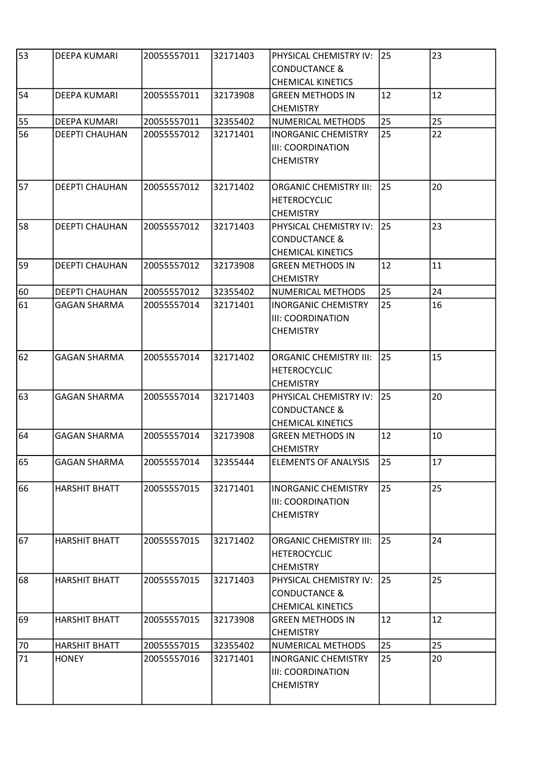| 53 | DEEPA KUMARI          | 20055557011 | 32171403 | PHYSICAL CHEMISTRY IV:<br><b>CONDUCTANCE &amp;</b><br><b>CHEMICAL KINETICS</b> | 25 | 23 |
|----|-----------------------|-------------|----------|--------------------------------------------------------------------------------|----|----|
| 54 | DEEPA KUMARI          | 20055557011 | 32173908 | <b>GREEN METHODS IN</b><br><b>CHEMISTRY</b>                                    | 12 | 12 |
| 55 | <b>DEEPA KUMARI</b>   | 20055557011 | 32355402 | NUMERICAL METHODS                                                              | 25 | 25 |
| 56 | <b>DEEPTI CHAUHAN</b> | 20055557012 | 32171401 | <b>INORGANIC CHEMISTRY</b><br><b>III: COORDINATION</b><br><b>CHEMISTRY</b>     | 25 | 22 |
| 57 | <b>DEEPTI CHAUHAN</b> | 20055557012 | 32171402 | <b>ORGANIC CHEMISTRY III:</b><br><b>HETEROCYCLIC</b><br><b>CHEMISTRY</b>       | 25 | 20 |
| 58 | <b>DEEPTI CHAUHAN</b> | 20055557012 | 32171403 | PHYSICAL CHEMISTRY IV:<br><b>CONDUCTANCE &amp;</b><br><b>CHEMICAL KINETICS</b> | 25 | 23 |
| 59 | <b>DEEPTI CHAUHAN</b> | 20055557012 | 32173908 | <b>GREEN METHODS IN</b><br><b>CHEMISTRY</b>                                    | 12 | 11 |
| 60 | <b>DEEPTI CHAUHAN</b> | 20055557012 | 32355402 | NUMERICAL METHODS                                                              | 25 | 24 |
| 61 | <b>GAGAN SHARMA</b>   | 20055557014 | 32171401 | <b>INORGANIC CHEMISTRY</b><br>III: COORDINATION<br><b>CHEMISTRY</b>            | 25 | 16 |
| 62 | <b>GAGAN SHARMA</b>   | 20055557014 | 32171402 | <b>ORGANIC CHEMISTRY III:</b><br><b>HETEROCYCLIC</b><br><b>CHEMISTRY</b>       | 25 | 15 |
| 63 | <b>GAGAN SHARMA</b>   | 20055557014 | 32171403 | PHYSICAL CHEMISTRY IV:<br><b>CONDUCTANCE &amp;</b><br><b>CHEMICAL KINETICS</b> | 25 | 20 |
| 64 | <b>GAGAN SHARMA</b>   | 20055557014 | 32173908 | <b>GREEN METHODS IN</b><br><b>CHEMISTRY</b>                                    | 12 | 10 |
| 65 | <b>GAGAN SHARMA</b>   | 20055557014 | 32355444 | <b>ELEMENTS OF ANALYSIS</b>                                                    | 25 | 17 |
| 66 | <b>HARSHIT BHATT</b>  | 20055557015 | 32171401 | <b>INORGANIC CHEMISTRY</b><br>III: COORDINATION<br><b>CHEMISTRY</b>            | 25 | 25 |
| 67 | <b>HARSHIT BHATT</b>  | 20055557015 | 32171402 | <b>ORGANIC CHEMISTRY III:</b><br><b>HETEROCYCLIC</b><br><b>CHEMISTRY</b>       | 25 | 24 |
| 68 | <b>HARSHIT BHATT</b>  | 20055557015 | 32171403 | PHYSICAL CHEMISTRY IV:<br><b>CONDUCTANCE &amp;</b><br><b>CHEMICAL KINETICS</b> | 25 | 25 |
| 69 | <b>HARSHIT BHATT</b>  | 20055557015 | 32173908 | <b>GREEN METHODS IN</b><br><b>CHEMISTRY</b>                                    | 12 | 12 |
| 70 | <b>HARSHIT BHATT</b>  | 20055557015 | 32355402 | NUMERICAL METHODS                                                              | 25 | 25 |
| 71 | <b>HONEY</b>          | 20055557016 | 32171401 | <b>INORGANIC CHEMISTRY</b><br>III: COORDINATION<br><b>CHEMISTRY</b>            | 25 | 20 |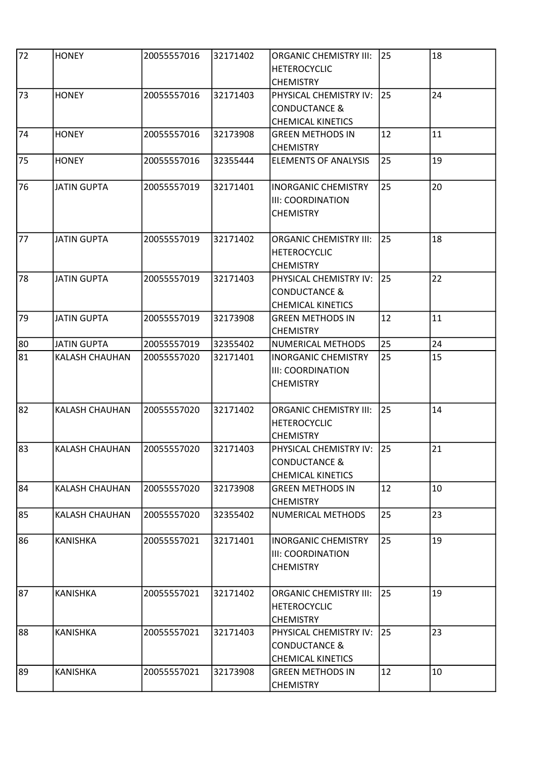| 72 | <b>HONEY</b>       | 20055557016 | 32171402 | <b>ORGANIC CHEMISTRY III:</b> | 25 | 18 |
|----|--------------------|-------------|----------|-------------------------------|----|----|
|    |                    |             |          | <b>HETEROCYCLIC</b>           |    |    |
|    |                    |             |          | <b>CHEMISTRY</b>              |    |    |
| 73 | <b>HONEY</b>       | 20055557016 | 32171403 | PHYSICAL CHEMISTRY IV:        | 25 | 24 |
|    |                    |             |          | <b>CONDUCTANCE &amp;</b>      |    |    |
|    |                    |             |          | <b>CHEMICAL KINETICS</b>      |    |    |
| 74 | <b>HONEY</b>       | 20055557016 | 32173908 | <b>GREEN METHODS IN</b>       | 12 | 11 |
|    |                    |             |          |                               |    |    |
|    |                    |             |          | <b>CHEMISTRY</b>              |    |    |
| 75 | <b>HONEY</b>       | 20055557016 | 32355444 | <b>ELEMENTS OF ANALYSIS</b>   | 25 | 19 |
|    |                    |             |          |                               |    |    |
| 76 | <b>JATIN GUPTA</b> | 20055557019 | 32171401 | <b>INORGANIC CHEMISTRY</b>    | 25 | 20 |
|    |                    |             |          | III: COORDINATION             |    |    |
|    |                    |             |          | <b>CHEMISTRY</b>              |    |    |
|    |                    |             |          |                               |    |    |
| 77 | <b>JATIN GUPTA</b> | 20055557019 | 32171402 | <b>ORGANIC CHEMISTRY III:</b> | 25 | 18 |
|    |                    |             |          | <b>HETEROCYCLIC</b>           |    |    |
|    |                    |             |          | <b>CHEMISTRY</b>              |    |    |
| 78 | <b>JATIN GUPTA</b> | 20055557019 | 32171403 | PHYSICAL CHEMISTRY IV:        | 25 | 22 |
|    |                    |             |          | <b>CONDUCTANCE &amp;</b>      |    |    |
|    |                    |             |          | <b>CHEMICAL KINETICS</b>      |    |    |
| 79 | <b>JATIN GUPTA</b> | 20055557019 | 32173908 | <b>GREEN METHODS IN</b>       | 12 | 11 |
|    |                    |             |          | <b>CHEMISTRY</b>              |    |    |
| 80 | <b>JATIN GUPTA</b> | 20055557019 | 32355402 | NUMERICAL METHODS             | 25 | 24 |
| 81 | KALASH CHAUHAN     | 20055557020 | 32171401 | <b>INORGANIC CHEMISTRY</b>    | 25 | 15 |
|    |                    |             |          |                               |    |    |
|    |                    |             |          | III: COORDINATION             |    |    |
|    |                    |             |          | <b>CHEMISTRY</b>              |    |    |
|    |                    |             |          |                               |    |    |
| 82 | KALASH CHAUHAN     | 20055557020 | 32171402 | <b>ORGANIC CHEMISTRY III:</b> | 25 | 14 |
|    |                    |             |          | <b>HETEROCYCLIC</b>           |    |    |
|    |                    |             |          | <b>CHEMISTRY</b>              |    |    |
| 83 | KALASH CHAUHAN     | 20055557020 | 32171403 | PHYSICAL CHEMISTRY IV: 25     |    | 21 |
|    |                    |             |          | <b>CONDUCTANCE &amp;</b>      |    |    |
|    |                    |             |          | <b>CHEMICAL KINETICS</b>      |    |    |
| 84 | KALASH CHAUHAN     | 20055557020 | 32173908 | <b>GREEN METHODS IN</b>       | 12 | 10 |
|    |                    |             |          | <b>CHEMISTRY</b>              |    |    |
| 85 | KALASH CHAUHAN     | 20055557020 | 32355402 | NUMERICAL METHODS             | 25 | 23 |
|    |                    |             |          |                               |    |    |
| 86 | <b>KANISHKA</b>    | 20055557021 | 32171401 | <b>INORGANIC CHEMISTRY</b>    | 25 | 19 |
|    |                    |             |          | III: COORDINATION             |    |    |
|    |                    |             |          | <b>CHEMISTRY</b>              |    |    |
|    |                    |             |          |                               |    |    |
| 87 | <b>KANISHKA</b>    | 20055557021 | 32171402 | <b>ORGANIC CHEMISTRY III:</b> | 25 | 19 |
|    |                    |             |          | <b>HETEROCYCLIC</b>           |    |    |
|    |                    |             |          | <b>CHEMISTRY</b>              |    |    |
| 88 | <b>KANISHKA</b>    | 20055557021 | 32171403 | PHYSICAL CHEMISTRY IV:        | 25 | 23 |
|    |                    |             |          |                               |    |    |
|    |                    |             |          | <b>CONDUCTANCE &amp;</b>      |    |    |
|    |                    |             |          | <b>CHEMICAL KINETICS</b>      |    |    |
| 89 | <b>KANISHKA</b>    | 20055557021 | 32173908 | <b>GREEN METHODS IN</b>       | 12 | 10 |
|    |                    |             |          | <b>CHEMISTRY</b>              |    |    |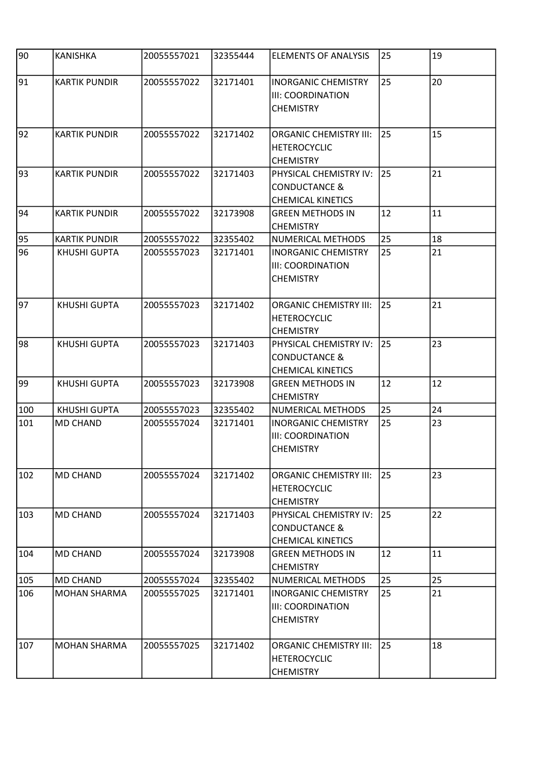| 90  | <b>KANISHKA</b>      | 20055557021 | 32355444 | <b>ELEMENTS OF ANALYSIS</b>                                                    | 25 | 19 |
|-----|----------------------|-------------|----------|--------------------------------------------------------------------------------|----|----|
| 91  | <b>KARTIK PUNDIR</b> | 20055557022 | 32171401 | <b>INORGANIC CHEMISTRY</b><br>III: COORDINATION<br><b>CHEMISTRY</b>            | 25 | 20 |
| 92  | <b>KARTIK PUNDIR</b> | 20055557022 | 32171402 | <b>ORGANIC CHEMISTRY III:</b><br><b>HETEROCYCLIC</b><br><b>CHEMISTRY</b>       | 25 | 15 |
| 93  | <b>KARTIK PUNDIR</b> | 20055557022 | 32171403 | PHYSICAL CHEMISTRY IV:<br><b>CONDUCTANCE &amp;</b><br><b>CHEMICAL KINETICS</b> | 25 | 21 |
| 94  | <b>KARTIK PUNDIR</b> | 20055557022 | 32173908 | <b>GREEN METHODS IN</b><br><b>CHEMISTRY</b>                                    | 12 | 11 |
| 95  | <b>KARTIK PUNDIR</b> | 20055557022 | 32355402 | NUMERICAL METHODS                                                              | 25 | 18 |
| 96  | KHUSHI GUPTA         | 20055557023 | 32171401 | <b>INORGANIC CHEMISTRY</b><br>III: COORDINATION<br><b>CHEMISTRY</b>            | 25 | 21 |
| 97  | <b>KHUSHI GUPTA</b>  | 20055557023 | 32171402 | <b>ORGANIC CHEMISTRY III:</b><br><b>HETEROCYCLIC</b><br><b>CHEMISTRY</b>       | 25 | 21 |
| 98  | <b>KHUSHI GUPTA</b>  | 20055557023 | 32171403 | PHYSICAL CHEMISTRY IV:<br><b>CONDUCTANCE &amp;</b><br><b>CHEMICAL KINETICS</b> | 25 | 23 |
| 99  | <b>KHUSHI GUPTA</b>  | 20055557023 | 32173908 | <b>GREEN METHODS IN</b><br><b>CHEMISTRY</b>                                    | 12 | 12 |
| 100 | <b>KHUSHI GUPTA</b>  | 20055557023 | 32355402 | <b>NUMERICAL METHODS</b>                                                       | 25 | 24 |
| 101 | <b>MD CHAND</b>      | 20055557024 | 32171401 | <b>INORGANIC CHEMISTRY</b><br><b>III: COORDINATION</b><br><b>CHEMISTRY</b>     | 25 | 23 |
| 102 | <b>MD CHAND</b>      | 20055557024 | 32171402 | <b>ORGANIC CHEMISTRY III:</b><br><b>HETEROCYCLIC</b><br><b>CHEMISTRY</b>       | 25 | 23 |
| 103 | <b>MD CHAND</b>      | 20055557024 | 32171403 | PHYSICAL CHEMISTRY IV:<br><b>CONDUCTANCE &amp;</b><br>CHEMICAL KINETICS        | 25 | 22 |
| 104 | <b>MD CHAND</b>      | 20055557024 | 32173908 | <b>GREEN METHODS IN</b><br><b>CHEMISTRY</b>                                    | 12 | 11 |
| 105 | <b>MD CHAND</b>      | 20055557024 | 32355402 | NUMERICAL METHODS                                                              | 25 | 25 |
| 106 | <b>MOHAN SHARMA</b>  | 20055557025 | 32171401 | <b>INORGANIC CHEMISTRY</b><br>III: COORDINATION<br><b>CHEMISTRY</b>            | 25 | 21 |
| 107 | <b>MOHAN SHARMA</b>  | 20055557025 | 32171402 | <b>ORGANIC CHEMISTRY III:</b><br><b>HETEROCYCLIC</b><br><b>CHEMISTRY</b>       | 25 | 18 |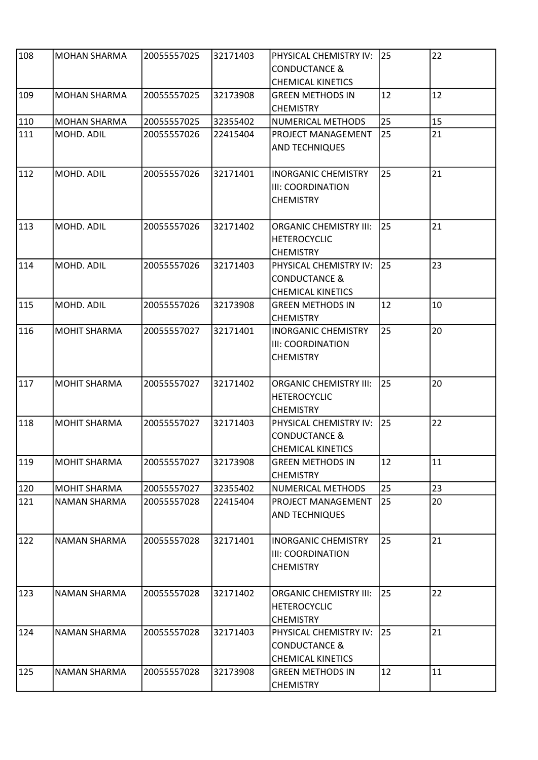| 108 |                     | 20055557025 | 32171403 |                               | 25 | 22 |
|-----|---------------------|-------------|----------|-------------------------------|----|----|
|     | <b>MOHAN SHARMA</b> |             |          | PHYSICAL CHEMISTRY IV:        |    |    |
|     |                     |             |          | <b>CONDUCTANCE &amp;</b>      |    |    |
|     |                     |             |          | <b>CHEMICAL KINETICS</b>      |    |    |
| 109 | MOHAN SHARMA        | 20055557025 | 32173908 | <b>GREEN METHODS IN</b>       | 12 | 12 |
|     |                     |             |          | <b>CHEMISTRY</b>              |    |    |
| 110 | <b>MOHAN SHARMA</b> | 20055557025 | 32355402 | NUMERICAL METHODS             | 25 | 15 |
| 111 | MOHD. ADIL          | 20055557026 | 22415404 | PROJECT MANAGEMENT            | 25 | 21 |
|     |                     |             |          | <b>AND TECHNIQUES</b>         |    |    |
|     |                     |             |          |                               |    |    |
| 112 | MOHD. ADIL          | 20055557026 | 32171401 | <b>INORGANIC CHEMISTRY</b>    | 25 | 21 |
|     |                     |             |          | <b>III: COORDINATION</b>      |    |    |
|     |                     |             |          | <b>CHEMISTRY</b>              |    |    |
|     |                     |             |          |                               |    |    |
| 113 | MOHD. ADIL          | 20055557026 | 32171402 | <b>ORGANIC CHEMISTRY III:</b> | 25 | 21 |
|     |                     |             |          | <b>HETEROCYCLIC</b>           |    |    |
|     |                     |             |          | <b>CHEMISTRY</b>              |    |    |
| 114 | MOHD. ADIL          | 20055557026 | 32171403 | PHYSICAL CHEMISTRY IV:        | 25 | 23 |
|     |                     |             |          | <b>CONDUCTANCE &amp;</b>      |    |    |
|     |                     |             |          | <b>CHEMICAL KINETICS</b>      |    |    |
| 115 | MOHD. ADIL          | 20055557026 | 32173908 | <b>GREEN METHODS IN</b>       | 12 | 10 |
|     |                     |             |          | <b>CHEMISTRY</b>              |    |    |
| 116 | <b>MOHIT SHARMA</b> | 20055557027 | 32171401 | <b>INORGANIC CHEMISTRY</b>    | 25 | 20 |
|     |                     |             |          | <b>III: COORDINATION</b>      |    |    |
|     |                     |             |          | <b>CHEMISTRY</b>              |    |    |
|     |                     |             |          |                               |    |    |
| 117 | <b>MOHIT SHARMA</b> | 20055557027 | 32171402 | <b>ORGANIC CHEMISTRY III:</b> | 25 | 20 |
|     |                     |             |          | <b>HETEROCYCLIC</b>           |    |    |
|     |                     |             |          | <b>CHEMISTRY</b>              |    |    |
| 118 | <b>MOHIT SHARMA</b> | 20055557027 | 32171403 | PHYSICAL CHEMISTRY IV:        | 25 | 22 |
|     |                     |             |          | <b>CONDUCTANCE &amp;</b>      |    |    |
|     |                     |             |          | <b>CHEMICAL KINETICS</b>      |    |    |
| 119 | <b>MOHIT SHARMA</b> | 20055557027 | 32173908 | <b>GREEN METHODS IN</b>       | 12 | 11 |
|     |                     |             |          | <b>CHEMISTRY</b>              |    |    |
| 120 | <b>MOHIT SHARMA</b> | 20055557027 | 32355402 | NUMERICAL METHODS             | 25 | 23 |
| 121 | NAMAN SHARMA        | 20055557028 | 22415404 | PROJECT MANAGEMENT            | 25 | 20 |
|     |                     |             |          |                               |    |    |
|     |                     |             |          | <b>AND TECHNIQUES</b>         |    |    |
| 122 | NAMAN SHARMA        | 20055557028 | 32171401 | <b>INORGANIC CHEMISTRY</b>    | 25 | 21 |
|     |                     |             |          |                               |    |    |
|     |                     |             |          | <b>III: COORDINATION</b>      |    |    |
|     |                     |             |          | <b>CHEMISTRY</b>              |    |    |
| 123 | NAMAN SHARMA        | 20055557028 | 32171402 | <b>ORGANIC CHEMISTRY III:</b> | 25 | 22 |
|     |                     |             |          | <b>HETEROCYCLIC</b>           |    |    |
|     |                     |             |          | <b>CHEMISTRY</b>              |    |    |
| 124 |                     | 20055557028 | 32171403 |                               | 25 | 21 |
|     | NAMAN SHARMA        |             |          | PHYSICAL CHEMISTRY IV:        |    |    |
|     |                     |             |          | <b>CONDUCTANCE &amp;</b>      |    |    |
|     |                     |             |          | <b>CHEMICAL KINETICS</b>      |    |    |
| 125 | NAMAN SHARMA        | 20055557028 | 32173908 | <b>GREEN METHODS IN</b>       | 12 | 11 |
|     |                     |             |          | <b>CHEMISTRY</b>              |    |    |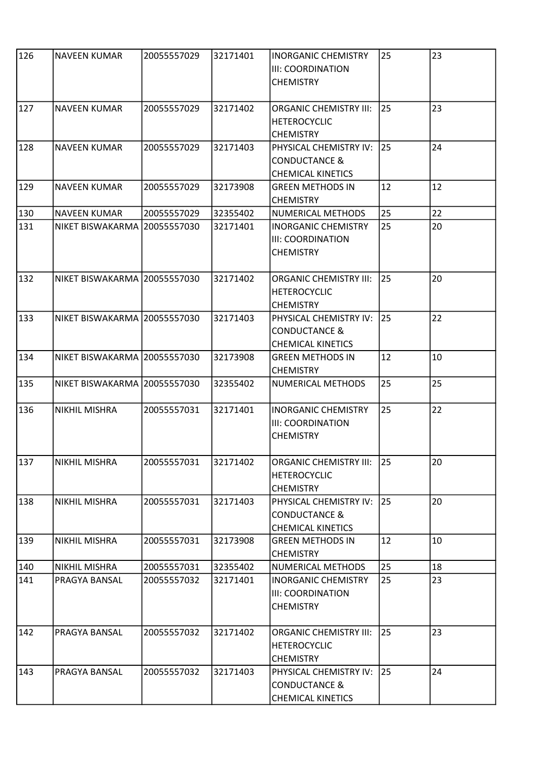| 126 | <b>NAVEEN KUMAR</b>          | 20055557029 | 32171401 | <b>INORGANIC CHEMISTRY</b><br><b>III: COORDINATION</b><br><b>CHEMISTRY</b>     | 25        | 23 |
|-----|------------------------------|-------------|----------|--------------------------------------------------------------------------------|-----------|----|
| 127 | <b>NAVEEN KUMAR</b>          | 20055557029 | 32171402 | <b>ORGANIC CHEMISTRY III:</b><br><b>HETEROCYCLIC</b><br><b>CHEMISTRY</b>       | 25        | 23 |
| 128 | <b>NAVEEN KUMAR</b>          | 20055557029 | 32171403 | PHYSICAL CHEMISTRY IV:<br><b>CONDUCTANCE &amp;</b><br><b>CHEMICAL KINETICS</b> | 25        | 24 |
| 129 | <b>NAVEEN KUMAR</b>          | 20055557029 | 32173908 | <b>GREEN METHODS IN</b><br><b>CHEMISTRY</b>                                    | 12        | 12 |
| 130 | <b>NAVEEN KUMAR</b>          | 20055557029 | 32355402 | NUMERICAL METHODS                                                              | 25        | 22 |
| 131 | NIKET BISWAKARMA 20055557030 |             | 32171401 | <b>INORGANIC CHEMISTRY</b><br><b>III: COORDINATION</b><br><b>CHEMISTRY</b>     | 25        | 20 |
| 132 | NIKET BISWAKARMA 20055557030 |             | 32171402 | <b>ORGANIC CHEMISTRY III:</b><br><b>HETEROCYCLIC</b><br><b>CHEMISTRY</b>       | 25        | 20 |
| 133 | NIKET BISWAKARMA 20055557030 |             | 32171403 | PHYSICAL CHEMISTRY IV:<br><b>CONDUCTANCE &amp;</b><br><b>CHEMICAL KINETICS</b> | <b>25</b> | 22 |
| 134 | NIKET BISWAKARMA 20055557030 |             | 32173908 | <b>GREEN METHODS IN</b><br><b>CHEMISTRY</b>                                    | 12        | 10 |
| 135 | NIKET BISWAKARMA 20055557030 |             | 32355402 | NUMERICAL METHODS                                                              | 25        | 25 |
| 136 | NIKHIL MISHRA                | 20055557031 | 32171401 | <b>INORGANIC CHEMISTRY</b><br><b>III: COORDINATION</b><br><b>CHEMISTRY</b>     | 25        | 22 |
| 137 | <b>NIKHIL MISHRA</b>         | 20055557031 | 32171402 | <b>ORGANIC CHEMISTRY III:</b><br><b>HETEROCYCLIC</b><br><b>CHEMISTRY</b>       | 25        | 20 |
| 138 | NIKHIL MISHRA                | 20055557031 | 32171403 | PHYSICAL CHEMISTRY IV:<br><b>CONDUCTANCE &amp;</b><br><b>CHEMICAL KINETICS</b> | 25        | 20 |
| 139 | NIKHIL MISHRA                | 20055557031 | 32173908 | <b>GREEN METHODS IN</b><br><b>CHEMISTRY</b>                                    | 12        | 10 |
| 140 | NIKHIL MISHRA                | 20055557031 | 32355402 | NUMERICAL METHODS                                                              | 25        | 18 |
| 141 | PRAGYA BANSAL                | 20055557032 | 32171401 | <b>INORGANIC CHEMISTRY</b><br><b>III: COORDINATION</b><br><b>CHEMISTRY</b>     | 25        | 23 |
| 142 | PRAGYA BANSAL                | 20055557032 | 32171402 | <b>ORGANIC CHEMISTRY III:</b><br><b>HETEROCYCLIC</b><br><b>CHEMISTRY</b>       | 25        | 23 |
| 143 | PRAGYA BANSAL                | 20055557032 | 32171403 | PHYSICAL CHEMISTRY IV:<br><b>CONDUCTANCE &amp;</b><br><b>CHEMICAL KINETICS</b> | 25        | 24 |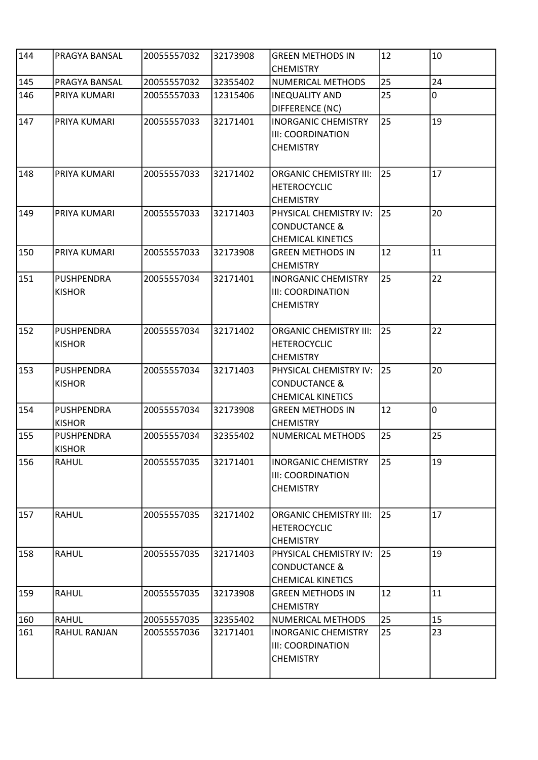| 144 | PRAGYA BANSAL     | 20055557032 | 32173908 | <b>GREEN METHODS IN</b><br><b>CHEMISTRY</b> | 12 | 10 |
|-----|-------------------|-------------|----------|---------------------------------------------|----|----|
| 145 | PRAGYA BANSAL     | 20055557032 | 32355402 | NUMERICAL METHODS                           | 25 | 24 |
| 146 | PRIYA KUMARI      | 20055557033 | 12315406 | <b>INEQUALITY AND</b>                       | 25 | 0  |
|     |                   |             |          | DIFFERENCE (NC)                             |    |    |
| 147 | PRIYA KUMARI      | 20055557033 | 32171401 | <b>INORGANIC CHEMISTRY</b>                  | 25 | 19 |
|     |                   |             |          | III: COORDINATION                           |    |    |
|     |                   |             |          | <b>CHEMISTRY</b>                            |    |    |
|     |                   |             |          |                                             |    |    |
| 148 | PRIYA KUMARI      | 20055557033 | 32171402 | <b>ORGANIC CHEMISTRY III:</b>               | 25 | 17 |
|     |                   |             |          | <b>HETEROCYCLIC</b>                         |    |    |
|     |                   |             |          | <b>CHEMISTRY</b>                            |    |    |
| 149 | PRIYA KUMARI      | 20055557033 | 32171403 | PHYSICAL CHEMISTRY IV:                      | 25 | 20 |
|     |                   |             |          | <b>CONDUCTANCE &amp;</b>                    |    |    |
|     |                   |             |          | <b>CHEMICAL KINETICS</b>                    |    |    |
| 150 | PRIYA KUMARI      | 20055557033 | 32173908 | <b>GREEN METHODS IN</b>                     | 12 | 11 |
|     |                   |             |          | <b>CHEMISTRY</b>                            |    |    |
| 151 | <b>PUSHPENDRA</b> | 20055557034 | 32171401 | <b>INORGANIC CHEMISTRY</b>                  | 25 | 22 |
|     | <b>KISHOR</b>     |             |          | III: COORDINATION                           |    |    |
|     |                   |             |          | <b>CHEMISTRY</b>                            |    |    |
|     |                   |             |          |                                             |    |    |
| 152 | PUSHPENDRA        | 20055557034 | 32171402 | <b>ORGANIC CHEMISTRY III:</b>               | 25 | 22 |
|     | <b>KISHOR</b>     |             |          | <b>HETEROCYCLIC</b>                         |    |    |
|     |                   |             |          | <b>CHEMISTRY</b>                            |    |    |
| 153 | <b>PUSHPENDRA</b> | 20055557034 | 32171403 | PHYSICAL CHEMISTRY IV:                      | 25 | 20 |
|     | <b>KISHOR</b>     |             |          | <b>CONDUCTANCE &amp;</b>                    |    |    |
|     |                   |             |          | <b>CHEMICAL KINETICS</b>                    |    |    |
| 154 | <b>PUSHPENDRA</b> | 20055557034 | 32173908 | <b>GREEN METHODS IN</b>                     | 12 | ۱o |
|     | <b>KISHOR</b>     |             |          | <b>CHEMISTRY</b>                            |    |    |
| 155 | <b>PUSHPENDRA</b> | 20055557034 | 32355402 | NUMERICAL METHODS                           | 25 | 25 |
|     | <b>KISHOR</b>     |             |          |                                             |    |    |
| 156 | <b>RAHUL</b>      | 20055557035 | 32171401 | <b>INORGANIC CHEMISTRY</b>                  | 25 | 19 |
|     |                   |             |          | III: COORDINATION                           |    |    |
|     |                   |             |          | <b>CHEMISTRY</b>                            |    |    |
|     |                   |             |          |                                             |    |    |
| 157 | <b>RAHUL</b>      | 20055557035 | 32171402 | <b>ORGANIC CHEMISTRY III:</b>               | 25 | 17 |
|     |                   |             |          | <b>HETEROCYCLIC</b><br><b>CHEMISTRY</b>     |    |    |
| 158 | <b>RAHUL</b>      | 20055557035 | 32171403 | PHYSICAL CHEMISTRY IV:                      | 25 | 19 |
|     |                   |             |          | <b>CONDUCTANCE &amp;</b>                    |    |    |
|     |                   |             |          | <b>CHEMICAL KINETICS</b>                    |    |    |
| 159 | <b>RAHUL</b>      | 20055557035 | 32173908 | <b>GREEN METHODS IN</b>                     | 12 | 11 |
|     |                   |             |          | <b>CHEMISTRY</b>                            |    |    |
| 160 | RAHUL             | 20055557035 | 32355402 | NUMERICAL METHODS                           | 25 | 15 |
| 161 | RAHUL RANJAN      | 20055557036 | 32171401 | <b>INORGANIC CHEMISTRY</b>                  | 25 | 23 |
|     |                   |             |          | III: COORDINATION                           |    |    |
|     |                   |             |          | <b>CHEMISTRY</b>                            |    |    |
|     |                   |             |          |                                             |    |    |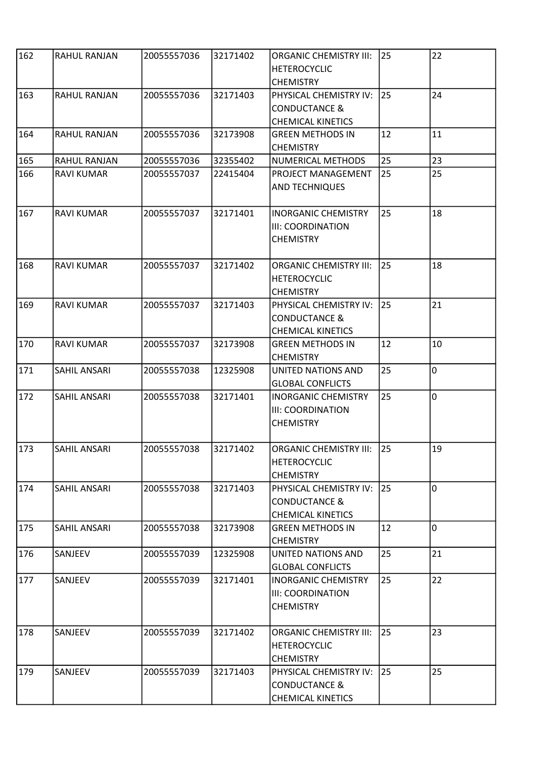| 162 | RAHUL RANJAN        | 20055557036 | 32171402 | <b>ORGANIC CHEMISTRY III:</b><br><b>HETEROCYCLIC</b><br><b>CHEMISTRY</b>       | 25           | 22             |
|-----|---------------------|-------------|----------|--------------------------------------------------------------------------------|--------------|----------------|
| 163 | RAHUL RANJAN        | 20055557036 | 32171403 | PHYSICAL CHEMISTRY IV:<br><b>CONDUCTANCE &amp;</b><br><b>CHEMICAL KINETICS</b> | 25           | 24             |
| 164 | RAHUL RANJAN        | 20055557036 | 32173908 | <b>GREEN METHODS IN</b><br><b>CHEMISTRY</b>                                    | 12           | 11             |
| 165 | RAHUL RANJAN        | 20055557036 | 32355402 | NUMERICAL METHODS                                                              | 25           | 23             |
| 166 | <b>RAVI KUMAR</b>   | 20055557037 | 22415404 | PROJECT MANAGEMENT<br><b>AND TECHNIQUES</b>                                    | 25           | 25             |
| 167 | <b>RAVI KUMAR</b>   | 20055557037 | 32171401 | <b>INORGANIC CHEMISTRY</b><br><b>III: COORDINATION</b><br><b>CHEMISTRY</b>     | 25           | 18             |
| 168 | <b>RAVI KUMAR</b>   | 20055557037 | 32171402 | <b>ORGANIC CHEMISTRY III:</b><br><b>HETEROCYCLIC</b><br><b>CHEMISTRY</b>       | 25           | 18             |
| 169 | <b>RAVI KUMAR</b>   | 20055557037 | 32171403 | PHYSICAL CHEMISTRY IV:<br><b>CONDUCTANCE &amp;</b><br><b>CHEMICAL KINETICS</b> | 25           | 21             |
| 170 | <b>RAVI KUMAR</b>   | 20055557037 | 32173908 | <b>GREEN METHODS IN</b><br><b>CHEMISTRY</b>                                    | 12           | 10             |
| 171 | SAHIL ANSARI        | 20055557038 | 12325908 | UNITED NATIONS AND<br><b>GLOBAL CONFLICTS</b>                                  | 25           | $\overline{0}$ |
| 172 | <b>SAHIL ANSARI</b> | 20055557038 | 32171401 | <b>INORGANIC CHEMISTRY</b><br><b>III: COORDINATION</b><br><b>CHEMISTRY</b>     | 25           | $\overline{0}$ |
| 173 | <b>SAHIL ANSARI</b> | 20055557038 | 32171402 | <b>ORGANIC CHEMISTRY III:</b><br><b>HETEROCYCLIC</b><br><b>CHEMISTRY</b>       | $\boxed{25}$ | 19             |
| 174 | SAHIL ANSARI        | 20055557038 | 32171403 | PHYSICAL CHEMISTRY IV:<br><b>CONDUCTANCE &amp;</b><br><b>CHEMICAL KINETICS</b> | I25          | O.             |
| 175 | SAHIL ANSARI        | 20055557038 | 32173908 | <b>GREEN METHODS IN</b><br><b>CHEMISTRY</b>                                    | 12           | O.             |
| 176 | SANJEEV             | 20055557039 | 12325908 | UNITED NATIONS AND<br><b>GLOBAL CONFLICTS</b>                                  | 25           | 21             |
| 177 | SANJEEV             | 20055557039 | 32171401 | <b>INORGANIC CHEMISTRY</b><br><b>III: COORDINATION</b><br><b>CHEMISTRY</b>     | 25           | 22             |
| 178 | SANJEEV             | 20055557039 | 32171402 | <b>ORGANIC CHEMISTRY III:</b><br><b>HETEROCYCLIC</b><br><b>CHEMISTRY</b>       | 25           | 23             |
| 179 | SANJEEV             | 20055557039 | 32171403 | PHYSICAL CHEMISTRY IV:<br><b>CONDUCTANCE &amp;</b><br><b>CHEMICAL KINETICS</b> | 25           | 25             |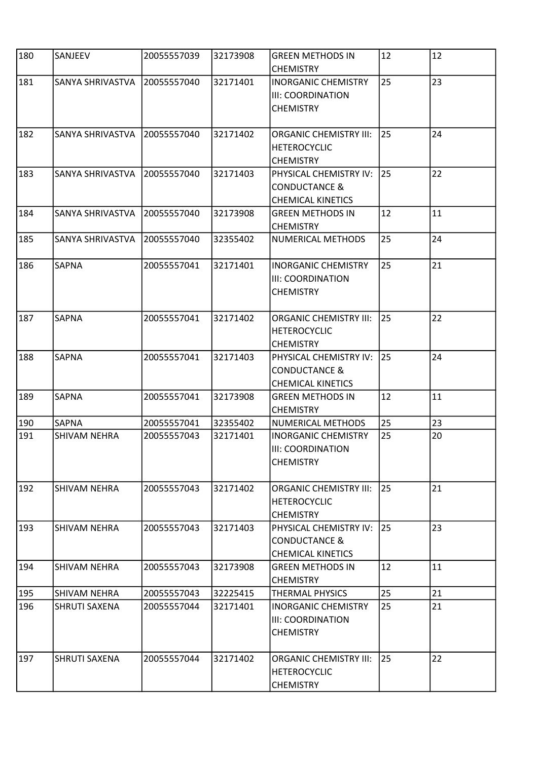| 180 | SANJEEV              | 20055557039 | 32173908 | <b>GREEN METHODS IN</b><br><b>CHEMISTRY</b>                                    | 12 | 12 |
|-----|----------------------|-------------|----------|--------------------------------------------------------------------------------|----|----|
| 181 | SANYA SHRIVASTVA     | 20055557040 | 32171401 | <b>INORGANIC CHEMISTRY</b><br>III: COORDINATION<br><b>CHEMISTRY</b>            | 25 | 23 |
| 182 | SANYA SHRIVASTVA     | 20055557040 | 32171402 | <b>ORGANIC CHEMISTRY III:</b><br><b>HETEROCYCLIC</b><br><b>CHEMISTRY</b>       | 25 | 24 |
| 183 | SANYA SHRIVASTVA     | 20055557040 | 32171403 | PHYSICAL CHEMISTRY IV:<br><b>CONDUCTANCE &amp;</b><br><b>CHEMICAL KINETICS</b> | 25 | 22 |
| 184 | SANYA SHRIVASTVA     | 20055557040 | 32173908 | <b>GREEN METHODS IN</b><br><b>CHEMISTRY</b>                                    | 12 | 11 |
| 185 | SANYA SHRIVASTVA     | 20055557040 | 32355402 | NUMERICAL METHODS                                                              | 25 | 24 |
| 186 | <b>SAPNA</b>         | 20055557041 | 32171401 | <b>INORGANIC CHEMISTRY</b><br>III: COORDINATION<br><b>CHEMISTRY</b>            | 25 | 21 |
| 187 | <b>SAPNA</b>         | 20055557041 | 32171402 | <b>ORGANIC CHEMISTRY III:</b><br><b>HETEROCYCLIC</b><br><b>CHEMISTRY</b>       | 25 | 22 |
| 188 | SAPNA                | 20055557041 | 32171403 | PHYSICAL CHEMISTRY IV:<br><b>CONDUCTANCE &amp;</b><br><b>CHEMICAL KINETICS</b> | 25 | 24 |
| 189 | SAPNA                | 20055557041 | 32173908 | <b>GREEN METHODS IN</b><br><b>CHEMISTRY</b>                                    | 12 | 11 |
| 190 | SAPNA                | 20055557041 | 32355402 | NUMERICAL METHODS                                                              | 25 | 23 |
| 191 | SHIVAM NEHRA         | 20055557043 | 32171401 | <b>INORGANIC CHEMISTRY</b><br><b>III: COORDINATION</b><br><b>CHEMISTRY</b>     | 25 | 20 |
| 192 | <b>SHIVAM NEHRA</b>  | 20055557043 | 32171402 | <b>ORGANIC CHEMISTRY III:</b><br><b>HETEROCYCLIC</b><br><b>CHEMISTRY</b>       | 25 | 21 |
| 193 | SHIVAM NEHRA         | 20055557043 | 32171403 | PHYSICAL CHEMISTRY IV:<br><b>CONDUCTANCE &amp;</b><br><b>CHEMICAL KINETICS</b> | 25 | 23 |
| 194 | SHIVAM NEHRA         | 20055557043 | 32173908 | <b>GREEN METHODS IN</b><br><b>CHEMISTRY</b>                                    | 12 | 11 |
| 195 | SHIVAM NEHRA         | 20055557043 | 32225415 | THERMAL PHYSICS                                                                | 25 | 21 |
| 196 | SHRUTI SAXENA        | 20055557044 | 32171401 | <b>INORGANIC CHEMISTRY</b><br>III: COORDINATION<br><b>CHEMISTRY</b>            | 25 | 21 |
| 197 | <b>SHRUTI SAXENA</b> | 20055557044 | 32171402 | <b>ORGANIC CHEMISTRY III:</b><br><b>HETEROCYCLIC</b><br><b>CHEMISTRY</b>       | 25 | 22 |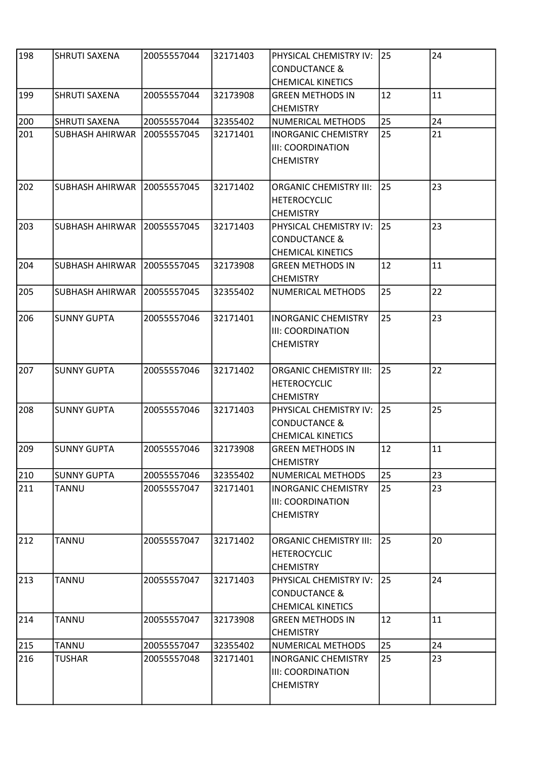| 198 | SHRUTI SAXENA          | 20055557044 | 32171403 | PHYSICAL CHEMISTRY IV:<br><b>CONDUCTANCE &amp;</b><br><b>CHEMICAL KINETICS</b> | 25  | 24 |
|-----|------------------------|-------------|----------|--------------------------------------------------------------------------------|-----|----|
| 199 | <b>SHRUTI SAXENA</b>   | 20055557044 | 32173908 | <b>GREEN METHODS IN</b><br><b>CHEMISTRY</b>                                    | 12  | 11 |
| 200 | SHRUTI SAXENA          | 20055557044 | 32355402 | NUMERICAL METHODS                                                              | 25  | 24 |
| 201 | SUBHASH AHIRWAR        | 20055557045 | 32171401 | <b>INORGANIC CHEMISTRY</b><br><b>III: COORDINATION</b><br><b>CHEMISTRY</b>     | 25  | 21 |
| 202 | SUBHASH AHIRWAR        | 20055557045 | 32171402 | <b>ORGANIC CHEMISTRY III:</b><br><b>HETEROCYCLIC</b><br><b>CHEMISTRY</b>       | 25  | 23 |
| 203 | <b>SUBHASH AHIRWAR</b> | 20055557045 | 32171403 | PHYSICAL CHEMISTRY IV:<br><b>CONDUCTANCE &amp;</b><br><b>CHEMICAL KINETICS</b> | 25  | 23 |
| 204 | <b>SUBHASH AHIRWAR</b> | 20055557045 | 32173908 | <b>GREEN METHODS IN</b><br><b>CHEMISTRY</b>                                    | 12  | 11 |
| 205 | <b>SUBHASH AHIRWAR</b> | 20055557045 | 32355402 | <b>NUMERICAL METHODS</b>                                                       | 25  | 22 |
| 206 | <b>SUNNY GUPTA</b>     | 20055557046 | 32171401 | <b>INORGANIC CHEMISTRY</b><br><b>III: COORDINATION</b><br><b>CHEMISTRY</b>     | 25  | 23 |
| 207 | <b>SUNNY GUPTA</b>     | 20055557046 | 32171402 | <b>ORGANIC CHEMISTRY III:</b><br><b>HETEROCYCLIC</b><br><b>CHEMISTRY</b>       | 25  | 22 |
| 208 | <b>SUNNY GUPTA</b>     | 20055557046 | 32171403 | PHYSICAL CHEMISTRY IV:<br><b>CONDUCTANCE &amp;</b><br><b>CHEMICAL KINETICS</b> | I25 | 25 |
| 209 | <b>SUNNY GUPTA</b>     | 20055557046 | 32173908 | <b>GREEN METHODS IN</b><br><b>CHEMISTRY</b>                                    | 12  | 11 |
| 210 | <b>SUNNY GUPTA</b>     | 20055557046 | 32355402 | NUMERICAL METHODS                                                              | 25  | 23 |
| 211 | <b>TANNU</b>           | 20055557047 | 32171401 | <b>INORGANIC CHEMISTRY</b><br><b>III: COORDINATION</b><br><b>CHEMISTRY</b>     | 25  | 23 |
| 212 | <b>TANNU</b>           | 20055557047 | 32171402 | <b>ORGANIC CHEMISTRY III:</b><br><b>HETEROCYCLIC</b><br><b>CHEMISTRY</b>       | 25  | 20 |
| 213 | <b>TANNU</b>           | 20055557047 | 32171403 | PHYSICAL CHEMISTRY IV:<br><b>CONDUCTANCE &amp;</b><br><b>CHEMICAL KINETICS</b> | 25  | 24 |
| 214 | <b>TANNU</b>           | 20055557047 | 32173908 | <b>GREEN METHODS IN</b><br><b>CHEMISTRY</b>                                    | 12  | 11 |
| 215 | <b>TANNU</b>           | 20055557047 | 32355402 | NUMERICAL METHODS                                                              | 25  | 24 |
| 216 | TUSHAR                 | 20055557048 | 32171401 | INORGANIC CHEMISTRY<br>III: COORDINATION<br><b>CHEMISTRY</b>                   | 25  | 23 |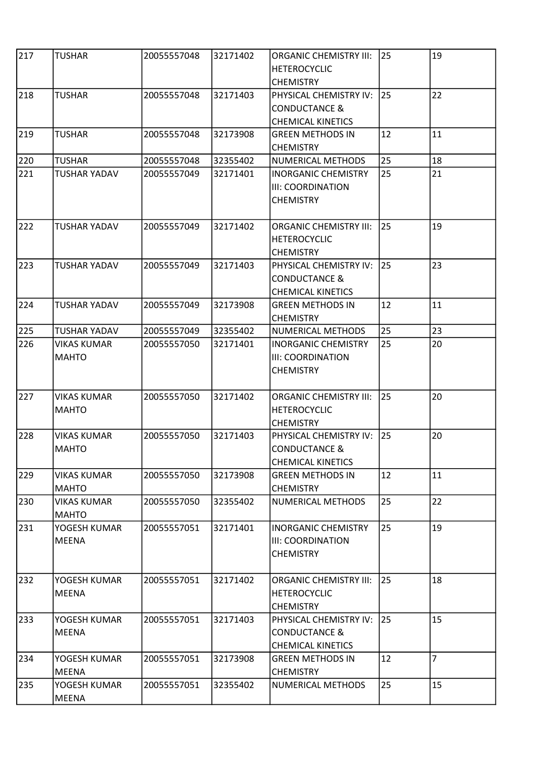| 217 | <b>TUSHAR</b>                      | 20055557048 | 32171402 | <b>ORGANIC CHEMISTRY III:</b><br><b>HETEROCYCLIC</b><br><b>CHEMISTRY</b>       | 25 | 19             |
|-----|------------------------------------|-------------|----------|--------------------------------------------------------------------------------|----|----------------|
| 218 | <b>TUSHAR</b>                      | 20055557048 | 32171403 | PHYSICAL CHEMISTRY IV:<br><b>CONDUCTANCE &amp;</b><br><b>CHEMICAL KINETICS</b> | 25 | 22             |
| 219 | <b>TUSHAR</b>                      | 20055557048 | 32173908 | <b>GREEN METHODS IN</b><br><b>CHEMISTRY</b>                                    | 12 | 11             |
| 220 | <b>TUSHAR</b>                      | 20055557048 | 32355402 | NUMERICAL METHODS                                                              | 25 | 18             |
| 221 | <b>TUSHAR YADAV</b>                | 20055557049 | 32171401 | <b>INORGANIC CHEMISTRY</b><br><b>III: COORDINATION</b><br><b>CHEMISTRY</b>     | 25 | 21             |
| 222 | <b>TUSHAR YADAV</b>                | 20055557049 | 32171402 | <b>ORGANIC CHEMISTRY III:</b><br><b>HETEROCYCLIC</b><br><b>CHEMISTRY</b>       | 25 | 19             |
| 223 | <b>TUSHAR YADAV</b>                | 20055557049 | 32171403 | PHYSICAL CHEMISTRY IV:<br><b>CONDUCTANCE &amp;</b><br><b>CHEMICAL KINETICS</b> | 25 | 23             |
| 224 | <b>TUSHAR YADAV</b>                | 20055557049 | 32173908 | <b>GREEN METHODS IN</b><br><b>CHEMISTRY</b>                                    | 12 | 11             |
| 225 | <b>TUSHAR YADAV</b>                | 20055557049 | 32355402 | NUMERICAL METHODS                                                              | 25 | 23             |
| 226 | <b>VIKAS KUMAR</b><br><b>MAHTO</b> | 20055557050 | 32171401 | <b>INORGANIC CHEMISTRY</b><br><b>III: COORDINATION</b><br><b>CHEMISTRY</b>     | 25 | 20             |
| 227 | <b>VIKAS KUMAR</b><br><b>MAHTO</b> | 20055557050 | 32171402 | <b>ORGANIC CHEMISTRY III:</b><br><b>HETEROCYCLIC</b><br><b>CHEMISTRY</b>       | 25 | 20             |
| 228 | <b>VIKAS KUMAR</b><br> MAHTO       | 20055557050 | 32171403 | PHYSICAL CHEMISTRY IV:<br>CONDUCTANCE &<br><b>CHEMICAL KINETICS</b>            | 25 | 20             |
| 229 | <b>VIKAS KUMAR</b><br><b>MAHTO</b> | 20055557050 | 32173908 | <b>GREEN METHODS IN</b><br><b>CHEMISTRY</b>                                    | 12 | 11             |
| 230 | <b>VIKAS KUMAR</b><br><b>MAHTO</b> | 20055557050 | 32355402 | NUMERICAL METHODS                                                              | 25 | 22             |
| 231 | YOGESH KUMAR<br><b>MEENA</b>       | 20055557051 | 32171401 | <b>INORGANIC CHEMISTRY</b><br><b>III: COORDINATION</b><br><b>CHEMISTRY</b>     | 25 | 19             |
| 232 | YOGESH KUMAR<br><b>MEENA</b>       | 20055557051 | 32171402 | <b>ORGANIC CHEMISTRY III:</b><br><b>HETEROCYCLIC</b><br><b>CHEMISTRY</b>       | 25 | 18             |
| 233 | YOGESH KUMAR<br>MEENA              | 20055557051 | 32171403 | PHYSICAL CHEMISTRY IV:<br><b>CONDUCTANCE &amp;</b><br><b>CHEMICAL KINETICS</b> | 25 | 15             |
| 234 | YOGESH KUMAR<br><b>MEENA</b>       | 20055557051 | 32173908 | <b>GREEN METHODS IN</b><br><b>CHEMISTRY</b>                                    | 12 | $\overline{7}$ |
| 235 | YOGESH KUMAR<br>MEENA              | 20055557051 | 32355402 | NUMERICAL METHODS                                                              | 25 | 15             |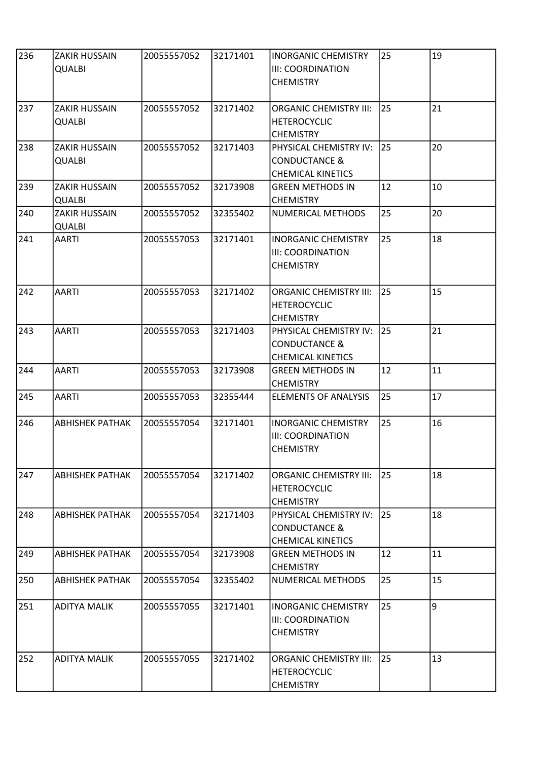| 236 | <b>ZAKIR HUSSAIN</b><br>QUALBI        | 20055557052 | 32171401 | <b>INORGANIC CHEMISTRY</b><br>III: COORDINATION<br><b>CHEMISTRY</b>            | 25 | 19 |
|-----|---------------------------------------|-------------|----------|--------------------------------------------------------------------------------|----|----|
| 237 | <b>ZAKIR HUSSAIN</b><br><b>QUALBI</b> | 20055557052 | 32171402 | <b>ORGANIC CHEMISTRY III:</b><br><b>HETEROCYCLIC</b><br><b>CHEMISTRY</b>       | 25 | 21 |
| 238 | <b>ZAKIR HUSSAIN</b><br>QUALBI        | 20055557052 | 32171403 | PHYSICAL CHEMISTRY IV:<br><b>CONDUCTANCE &amp;</b><br><b>CHEMICAL KINETICS</b> | 25 | 20 |
| 239 | <b>ZAKIR HUSSAIN</b><br><b>QUALBI</b> | 20055557052 | 32173908 | <b>GREEN METHODS IN</b><br><b>CHEMISTRY</b>                                    | 12 | 10 |
| 240 | <b>ZAKIR HUSSAIN</b><br><b>QUALBI</b> | 20055557052 | 32355402 | NUMERICAL METHODS                                                              | 25 | 20 |
| 241 | <b>AARTI</b>                          | 20055557053 | 32171401 | <b>INORGANIC CHEMISTRY</b><br>III: COORDINATION<br><b>CHEMISTRY</b>            | 25 | 18 |
| 242 | <b>AARTI</b>                          | 20055557053 | 32171402 | <b>ORGANIC CHEMISTRY III:</b><br><b>HETEROCYCLIC</b><br><b>CHEMISTRY</b>       | 25 | 15 |
| 243 | <b>AARTI</b>                          | 20055557053 | 32171403 | PHYSICAL CHEMISTRY IV:<br><b>CONDUCTANCE &amp;</b><br><b>CHEMICAL KINETICS</b> | 25 | 21 |
| 244 | <b>AARTI</b>                          | 20055557053 | 32173908 | <b>GREEN METHODS IN</b><br><b>CHEMISTRY</b>                                    | 12 | 11 |
| 245 | <b>AARTI</b>                          | 20055557053 | 32355444 | <b>ELEMENTS OF ANALYSIS</b>                                                    | 25 | 17 |
| 246 | <b>ABHISHEK PATHAK</b>                | 20055557054 | 32171401 | <b>INORGANIC CHEMISTRY</b><br>III: COORDINATION<br><b>CHEMISTRY</b>            | 25 | 16 |
| 247 | <b>ABHISHEK PATHAK</b>                | 20055557054 | 32171402 | <b>ORGANIC CHEMISTRY III:</b><br><b>HETEROCYCLIC</b><br><b>CHEMISTRY</b>       | 25 | 18 |
| 248 | ABHISHEK PATHAK                       | 20055557054 | 32171403 | PHYSICAL CHEMISTRY IV:<br><b>CONDUCTANCE &amp;</b><br><b>CHEMICAL KINETICS</b> | 25 | 18 |
| 249 | <b>ABHISHEK PATHAK</b>                | 20055557054 | 32173908 | <b>GREEN METHODS IN</b><br><b>CHEMISTRY</b>                                    | 12 | 11 |
| 250 | <b>ABHISHEK PATHAK</b>                | 20055557054 | 32355402 | NUMERICAL METHODS                                                              | 25 | 15 |
| 251 | ADITYA MALIK                          | 20055557055 | 32171401 | <b>INORGANIC CHEMISTRY</b><br>III: COORDINATION<br><b>CHEMISTRY</b>            | 25 | 9  |
| 252 | <b>ADITYA MALIK</b>                   | 20055557055 | 32171402 | <b>ORGANIC CHEMISTRY III:</b><br><b>HETEROCYCLIC</b><br><b>CHEMISTRY</b>       | 25 | 13 |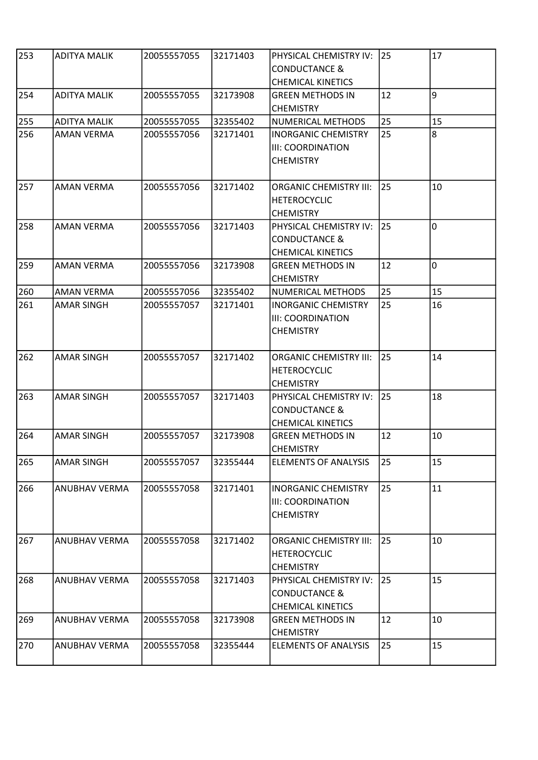| 253 | <b>ADITYA MALIK</b>  | 20055557055 | 32171403 | PHYSICAL CHEMISTRY IV:<br><b>CONDUCTANCE &amp;</b>                             | 25 | 17             |
|-----|----------------------|-------------|----------|--------------------------------------------------------------------------------|----|----------------|
| 254 | <b>ADITYA MALIK</b>  | 20055557055 | 32173908 | <b>CHEMICAL KINETICS</b><br><b>GREEN METHODS IN</b><br><b>CHEMISTRY</b>        | 12 | 9              |
| 255 | <b>ADITYA MALIK</b>  | 20055557055 | 32355402 | NUMERICAL METHODS                                                              | 25 | 15             |
| 256 | AMAN VERMA           | 20055557056 | 32171401 | <b>INORGANIC CHEMISTRY</b><br>III: COORDINATION<br><b>CHEMISTRY</b>            | 25 | 8              |
| 257 | <b>AMAN VERMA</b>    | 20055557056 | 32171402 | <b>ORGANIC CHEMISTRY III:</b><br><b>HETEROCYCLIC</b><br><b>CHEMISTRY</b>       | 25 | 10             |
| 258 | <b>AMAN VERMA</b>    | 20055557056 | 32171403 | PHYSICAL CHEMISTRY IV:<br><b>CONDUCTANCE &amp;</b><br><b>CHEMICAL KINETICS</b> | 25 | $\overline{0}$ |
| 259 | <b>AMAN VERMA</b>    | 20055557056 | 32173908 | <b>GREEN METHODS IN</b><br><b>CHEMISTRY</b>                                    | 12 | 0              |
| 260 | <b>AMAN VERMA</b>    | 20055557056 | 32355402 | NUMERICAL METHODS                                                              | 25 | 15             |
| 261 | <b>AMAR SINGH</b>    | 20055557057 | 32171401 | <b>INORGANIC CHEMISTRY</b><br>III: COORDINATION<br><b>CHEMISTRY</b>            | 25 | 16             |
| 262 | <b>AMAR SINGH</b>    | 20055557057 | 32171402 | <b>ORGANIC CHEMISTRY III:</b><br><b>HETEROCYCLIC</b><br><b>CHEMISTRY</b>       | 25 | 14             |
| 263 | <b>AMAR SINGH</b>    | 20055557057 | 32171403 | PHYSICAL CHEMISTRY IV:<br><b>CONDUCTANCE &amp;</b><br><b>CHEMICAL KINETICS</b> | 25 | 18             |
| 264 | <b>AMAR SINGH</b>    | 20055557057 | 32173908 | <b>GREEN METHODS IN</b><br><b>CHEMISTRY</b>                                    | 12 | 10             |
| 265 | <b>AMAR SINGH</b>    | 20055557057 | 32355444 | <b>ELEMENTS OF ANALYSIS</b>                                                    | 25 | 15             |
| 266 | <b>ANUBHAV VERMA</b> | 20055557058 | 32171401 | <b>INORGANIC CHEMISTRY</b><br>III: COORDINATION<br><b>CHEMISTRY</b>            | 25 | 11             |
| 267 | ANUBHAV VERMA        | 20055557058 | 32171402 | <b>ORGANIC CHEMISTRY III:</b><br><b>HETEROCYCLIC</b><br><b>CHEMISTRY</b>       | 25 | 10             |
| 268 | <b>ANUBHAV VERMA</b> | 20055557058 | 32171403 | PHYSICAL CHEMISTRY IV:<br><b>CONDUCTANCE &amp;</b><br><b>CHEMICAL KINETICS</b> | 25 | 15             |
| 269 | ANUBHAV VERMA        | 20055557058 | 32173908 | <b>GREEN METHODS IN</b><br><b>CHEMISTRY</b>                                    | 12 | 10             |
| 270 | <b>ANUBHAV VERMA</b> | 20055557058 | 32355444 | <b>ELEMENTS OF ANALYSIS</b>                                                    | 25 | 15             |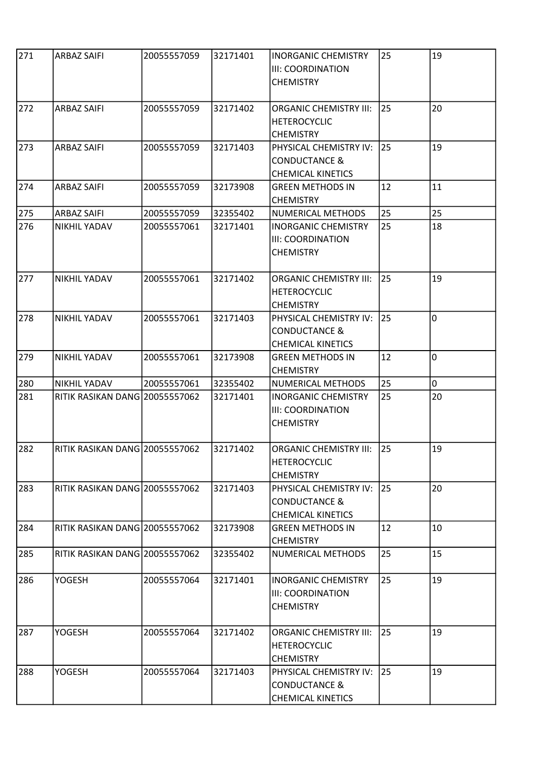| 271 | <b>ARBAZ SAIFI</b>                    | 20055557059 | 32171401 | <b>INORGANIC CHEMISTRY</b><br>III: COORDINATION<br><b>CHEMISTRY</b>            | 25 | 19             |
|-----|---------------------------------------|-------------|----------|--------------------------------------------------------------------------------|----|----------------|
| 272 | <b>ARBAZ SAIFI</b>                    | 20055557059 | 32171402 | <b>ORGANIC CHEMISTRY III:</b><br><b>HETEROCYCLIC</b><br><b>CHEMISTRY</b>       | 25 | 20             |
| 273 | <b>ARBAZ SAIFI</b>                    | 20055557059 | 32171403 | PHYSICAL CHEMISTRY IV:<br><b>CONDUCTANCE &amp;</b><br><b>CHEMICAL KINETICS</b> | 25 | 19             |
| 274 | <b>ARBAZ SAIFI</b>                    | 20055557059 | 32173908 | <b>GREEN METHODS IN</b><br><b>CHEMISTRY</b>                                    | 12 | 11             |
| 275 | <b>ARBAZ SAIFI</b>                    | 20055557059 | 32355402 | NUMERICAL METHODS                                                              | 25 | 25             |
| 276 | NIKHIL YADAV                          | 20055557061 | 32171401 | <b>INORGANIC CHEMISTRY</b><br>III: COORDINATION<br><b>CHEMISTRY</b>            | 25 | 18             |
| 277 | NIKHIL YADAV                          | 20055557061 | 32171402 | <b>ORGANIC CHEMISTRY III:</b><br><b>HETEROCYCLIC</b><br><b>CHEMISTRY</b>       | 25 | 19             |
| 278 | <b>NIKHIL YADAV</b>                   | 20055557061 | 32171403 | PHYSICAL CHEMISTRY IV:<br><b>CONDUCTANCE &amp;</b><br><b>CHEMICAL KINETICS</b> | 25 | $\overline{0}$ |
| 279 | NIKHIL YADAV                          | 20055557061 | 32173908 | <b>GREEN METHODS IN</b><br><b>CHEMISTRY</b>                                    | 12 | 0              |
| 280 | NIKHIL YADAV                          | 20055557061 | 32355402 | NUMERICAL METHODS                                                              | 25 | 0              |
| 281 | RITIK RASIKAN DANG 20055557062        |             | 32171401 | <b>INORGANIC CHEMISTRY</b><br>III: COORDINATION<br><b>CHEMISTRY</b>            | 25 | 20             |
| 282 | RITIK RASIKAN DANG 20055557062        |             | 32171402 | ORGANIC CHEMISTRY III:<br><b>HETEROCYCLIC</b><br><b>CHEMISTRY</b>              | 25 | 19             |
| 283 | <b>RITIK RASIKAN DANG 20055557062</b> |             | 32171403 | PHYSICAL CHEMISTRY IV:<br><b>CONDUCTANCE &amp;</b><br><b>CHEMICAL KINETICS</b> | 25 | 20             |
| 284 | RITIK RASIKAN DANG 20055557062        |             | 32173908 | <b>GREEN METHODS IN</b><br><b>CHEMISTRY</b>                                    | 12 | 10             |
| 285 | RITIK RASIKAN DANG 20055557062        |             | 32355402 | NUMERICAL METHODS                                                              | 25 | 15             |
| 286 | <b>YOGESH</b>                         | 20055557064 | 32171401 | <b>INORGANIC CHEMISTRY</b><br>III: COORDINATION<br><b>CHEMISTRY</b>            | 25 | 19             |
| 287 | <b>YOGESH</b>                         | 20055557064 | 32171402 | <b>ORGANIC CHEMISTRY III:</b><br><b>HETEROCYCLIC</b><br><b>CHEMISTRY</b>       | 25 | 19             |
| 288 | YOGESH                                | 20055557064 | 32171403 | PHYSICAL CHEMISTRY IV:<br><b>CONDUCTANCE &amp;</b><br><b>CHEMICAL KINETICS</b> | 25 | 19             |